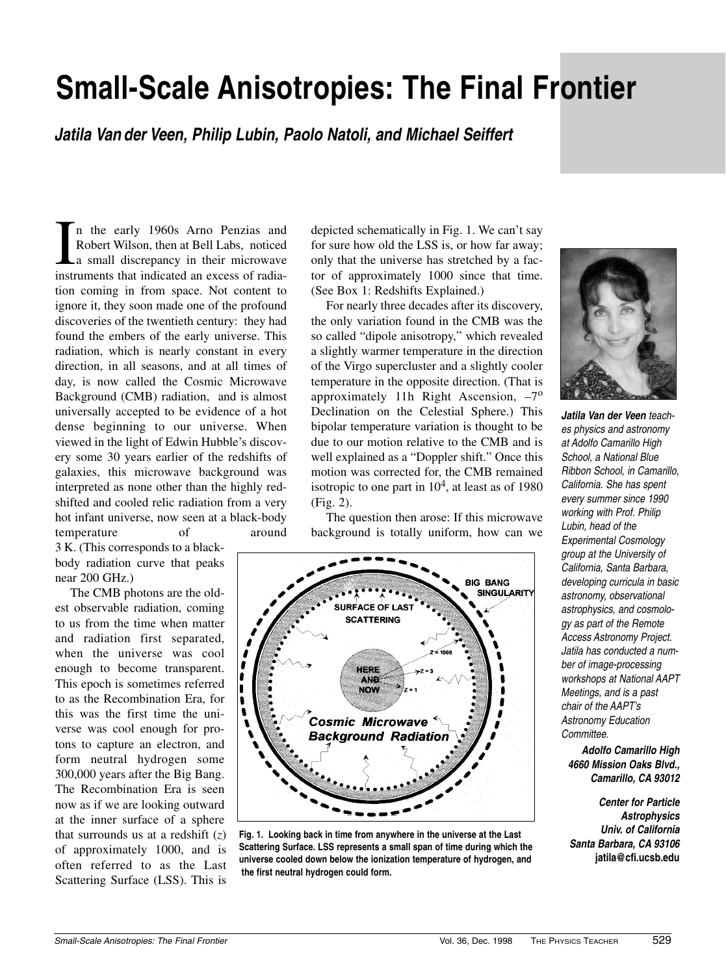# **Small-Scale Anisotropies: The Final Frontier**

**Jatila Van der Veen, Philip Lubin, Paolo Natoli, and Michael Seiffert**

In the early 1960s Arno Penzias and<br>Robert Wilson, then at Bell Labs, noticed<br>a small discrepancy in their microwave<br>instruments that indicated an excess of radian the early 1960s Arno Penzias and Robert Wilson, then at Bell Labs, noticed a small discrepancy in their microwave tion coming in from space. Not content to ignore it, they soon made one of the profound discoveries of the twentieth century: they had found the embers of the early universe. This radiation, which is nearly constant in every direction, in all seasons, and at all times of day, is now called the Cosmic Microwave Background (CMB) radiation, and is almost universally accepted to be evidence of a hot dense beginning to our universe. When viewed in the light of Edwin Hubble's discovery some 30 years earlier of the redshifts of galaxies, this microwave background was interpreted as none other than the highly redshifted and cooled relic radiation from a very hot infant universe, now seen at a black-body temperature of around

3 K. (This corresponds to a blackbody radiation curve that peaks near 200 GHz.)

The CMB photons are the oldest observable radiation, coming to us from the time when matter and radiation first separated, when the universe was cool enough to become transparent. This epoch is sometimes referred to as the Recombination Era, for this was the first time the universe was cool enough for protons to capture an electron, and form neutral hydrogen some 300,000 years after the Big Bang. The Recombination Era is seen now as if we are looking outward at the inner surface of a sphere that surrounds us at a redshift  $(z)$ of approximately 1000, and is often referred to as the Last Scattering Surface (LSS). This is depicted schematically in Fig. 1. We can't say for sure how old the LSS is, or how far away; only that the universe has stretched by a factor of approximately 1000 since that time. (See Box 1: Redshifts Explained.)

For nearly three decades after its discovery, the only variation found in the CMB was the so called "dipole anisotropy," which revealed a slightly warmer temperature in the direction of the Virgo supercluster and a slightly cooler temperature in the opposite direction. (That is approximately 11h Right Ascension,  $-7^\circ$ Declination on the Celestial Sphere.) This bipolar temperature variation is thought to be due to our motion relative to the CMB and is well explained as a "Doppler shift." Once this motion was corrected for, the CMB remained isotropic to one part in  $10<sup>4</sup>$ , at least as of 1980 (Fig. 2).

The question then arose: If this microwave background is totally uniform, how can we



**Fig. 1. Looking back in time from anywhere in the universe at the Last Scattering Surface. LSS represents a small span of time during which the universe cooled down below the ionization temperature of hydrogen, and the first neutral hydrogen could form.**



**Jatila Van der Veen** teaches physics and astronomy at Adolfo Camarillo High School, a National Blue Ribbon School, in Camarillo, California. She has spent every summer since 1990 working with Prof. Philip Lubin, head of the Experimental Cosmology group at the University of California, Santa Barbara, developing curricula in basic astronomy, observational astrophysics, and cosmology as part of the Remote Access Astronomy Project. Jatila has conducted a number of image-processing workshops at National AAPT Meetings, and is a past chair of the AAPT's Astronomy Education Committee.

**Adolfo Camarillo High 4660 Mission Oaks Blvd., Camarillo, CA 93012**

**Center for Particle Astrophysics Univ. of California Santa Barbara, CA 93106 jatila@cfi.ucsb.edu**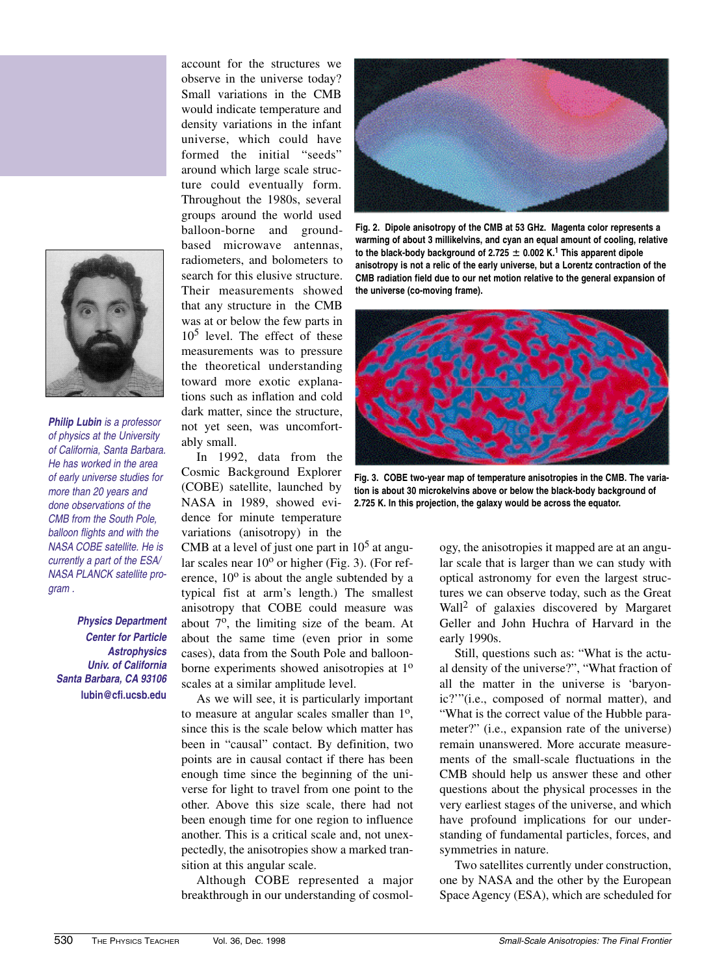

**Philip Lubin** is a professor of physics at the University of California, Santa Barbara. He has worked in the area of early universe studies for more than 20 years and done observations of the CMB from the South Pole, balloon flights and with the NASA COBE satellite. He is currently a part of the ESA/ NASA PLANCK satellite program .

**Physics Department Center for Particle Astrophysics Univ. of California Santa Barbara, CA 93106 lubin@cfi.ucsb.edu**

account for the structures we observe in the universe today? Small variations in the CMB would indicate temperature and density variations in the infant universe, which could have formed the initial "seeds" around which large scale structure could eventually form. Throughout the 1980s, several groups around the world used balloon-borne and groundbased microwave antennas, radiometers, and bolometers to search for this elusive structure. Their measurements showed that any structure in the CMB was at or below the few parts in  $10<sup>5</sup>$  level. The effect of these measurements was to pressure the theoretical understanding toward more exotic explanations such as inflation and cold dark matter, since the structure, not yet seen, was uncomfortably small.

In 1992, data from the Cosmic Background Explorer (COBE) satellite, launched by NASA in 1989, showed evidence for minute temperature variations (anisotropy) in the

CMB at a level of just one part in  $10<sup>5</sup>$  at angular scales near  $10^{\circ}$  or higher (Fig. 3). (For reference,  $10^{\circ}$  is about the angle subtended by a typical fist at arm's length.) The smallest anisotropy that COBE could measure was about  $7^\circ$ , the limiting size of the beam. At about the same time (even prior in some cases), data from the South Pole and balloonborne experiments showed anisotropies at 1<sup>o</sup> scales at a similar amplitude level.

As we will see, it is particularly important to measure at angular scales smaller than  $1<sup>o</sup>$ , since this is the scale below which matter has been in "causal" contact. By definition, two points are in causal contact if there has been enough time since the beginning of the universe for light to travel from one point to the other. Above this size scale, there had not been enough time for one region to influence another. This is a critical scale and, not unexpectedly, the anisotropies show a marked transition at this angular scale.

Although COBE represented a major breakthrough in our understanding of cosmol-



**Fig. 2. Dipole anisotropy of the CMB at 53 GHz. Magenta color represents a warming of about 3 millikelvins, and cyan an equal amount of cooling, relative** to the black-body background of 2.725  $\pm$  0.002 K.<sup>1</sup> This apparent dipole **anisotropy is not a relic of the early universe, but a Lorentz contraction of the CMB radiation field due to our net motion relative to the general expansion of the universe (co-moving frame).** 



**Fig. 3. COBE two-year map of temperature anisotropies in the CMB. The variation is about 30 microkelvins above or below the black-body background of 2.725 K. In this projection, the galaxy would be across the equator.** 

ogy, the anisotropies it mapped are at an angular scale that is larger than we can study with optical astronomy for even the largest structures we can observe today, such as the Great Wall2 of galaxies discovered by Margaret Geller and John Huchra of Harvard in the early 1990s.

Still, questions such as: "What is the actual density of the universe?", "What fraction of all the matter in the universe is 'baryonic?'"(i.e., composed of normal matter), and "What is the correct value of the Hubble parameter?" (i.e., expansion rate of the universe) remain unanswered. More accurate measurements of the small-scale fluctuations in the CMB should help us answer these and other questions about the physical processes in the very earliest stages of the universe, and which have profound implications for our understanding of fundamental particles, forces, and symmetries in nature.

Two satellites currently under construction, one by NASA and the other by the European Space Agency (ESA), which are scheduled for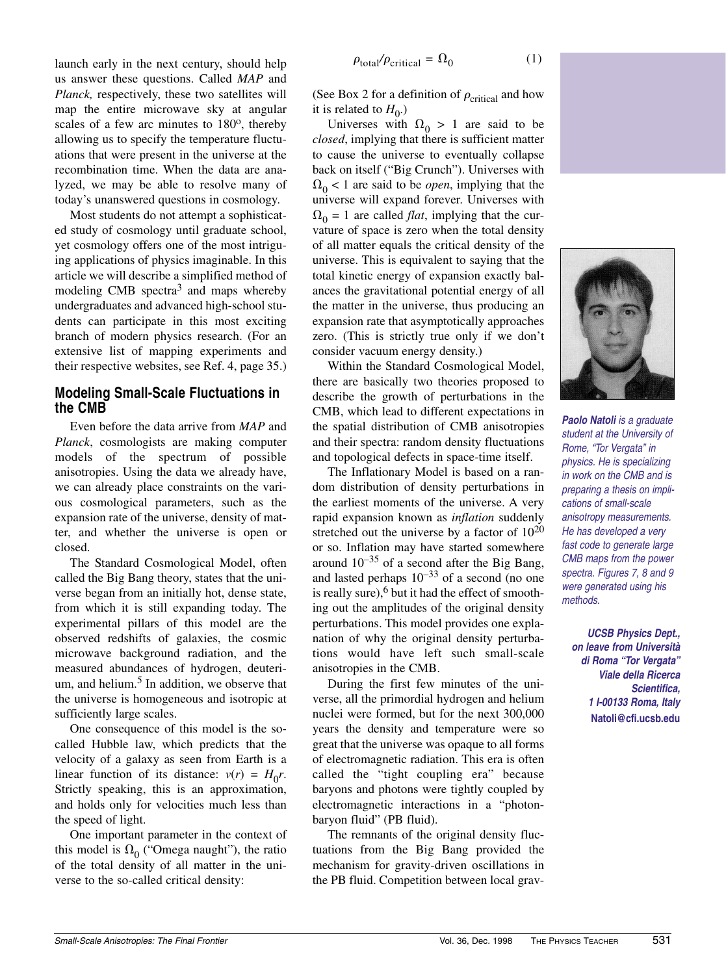launch early in the next century, should help us answer these questions. Called *MAP* and *Planck,* respectively, these two satellites will map the entire microwave sky at angular scales of a few arc minutes to 180<sup>o</sup>, thereby allowing us to specify the temperature fluctuations that were present in the universe at the recombination time. When the data are analyzed, we may be able to resolve many of today's unanswered questions in cosmology.

Most students do not attempt a sophisticated study of cosmology until graduate school, yet cosmology offers one of the most intriguing applications of physics imaginable. In this article we will describe a simplified method of modeling  $CMB$  spectra<sup>3</sup> and maps whereby undergraduates and advanced high-school students can participate in this most exciting branch of modern physics research. (For an extensive list of mapping experiments and their respective websites, see Ref. 4, page 35.)

### **Modeling Small-Scale Fluctuations in the CMB**

Even before the data arrive from *MAP* and *Planck*, cosmologists are making computer models of the spectrum of possible anisotropies. Using the data we already have, we can already place constraints on the various cosmological parameters, such as the expansion rate of the universe, density of matter, and whether the universe is open or closed.

The Standard Cosmological Model, often called the Big Bang theory, states that the universe began from an initially hot, dense state, from which it is still expanding today. The experimental pillars of this model are the observed redshifts of galaxies, the cosmic microwave background radiation, and the measured abundances of hydrogen, deuterium, and helium. $<sup>5</sup>$  In addition, we observe that</sup> the universe is homogeneous and isotropic at sufficiently large scales.

One consequence of this model is the socalled Hubble law, which predicts that the velocity of a galaxy as seen from Earth is a linear function of its distance:  $v(r) = H_0 r$ . Strictly speaking, this is an approximation, and holds only for velocities much less than the speed of light.

One important parameter in the context of this model is  $\Omega_0$  ("Omega naught"), the ratio of the total density of all matter in the universe to the so-called critical density:

$$
\rho_{\text{total}}/\rho_{\text{critical}} = \Omega_0 \tag{1}
$$

(See Box 2 for a definition of  $\rho_{critical}$  and how it is related to  $H_0$ .)

Universes with  $\Omega_0 > 1$  are said to be *closed*, implying that there is sufficient matter to cause the universe to eventually collapse back on itself ("Big Crunch"). Universes with  $\Omega_0$  < 1 are said to be *open*, implying that the universe will expand forever. Universes with  $\Omega_0 = 1$  are called *flat*, implying that the curvature of space is zero when the total density of all matter equals the critical density of the universe. This is equivalent to saying that the total kinetic energy of expansion exactly balances the gravitational potential energy of all the matter in the universe, thus producing an expansion rate that asymptotically approaches zero. (This is strictly true only if we don't consider vacuum energy density.)

Within the Standard Cosmological Model, there are basically two theories proposed to describe the growth of perturbations in the CMB, which lead to different expectations in the spatial distribution of CMB anisotropies and their spectra: random density fluctuations and topological defects in space-time itself.

The Inflationary Model is based on a random distribution of density perturbations in the earliest moments of the universe. A very rapid expansion known as *inflation* suddenly stretched out the universe by a factor of  $10^{20}$ or so. Inflation may have started somewhere around  $10^{-35}$  of a second after the Big Bang, and lasted perhaps  $10^{-33}$  of a second (no one is really sure),  $6$  but it had the effect of smoothing out the amplitudes of the original density perturbations. This model provides one explanation of why the original density perturbations would have left such small-scale anisotropies in the CMB.

During the first few minutes of the universe, all the primordial hydrogen and helium nuclei were formed, but for the next 300,000 years the density and temperature were so great that the universe was opaque to all forms of electromagnetic radiation. This era is often called the "tight coupling era" because baryons and photons were tightly coupled by electromagnetic interactions in a "photonbaryon fluid" (PB fluid).

The remnants of the original density fluctuations from the Big Bang provided the mechanism for gravity-driven oscillations in the PB fluid. Competition between local grav-



**Paolo Natoli** is a graduate student at the University of Rome, "Tor Vergata" in physics. He is specializing in work on the CMB and is preparing a thesis on implications of small-scale anisotropy measurements. He has developed a very fast code to generate large CMB maps from the power spectra. Figures 7, 8 and 9 were generated using his methods.

**UCSB Physics Dept., on leave from Università di Roma "Tor Vergata" Viale della Ricerca Scientifica, 1 I-00133 Roma, Italy Natoli@cfi.ucsb.edu**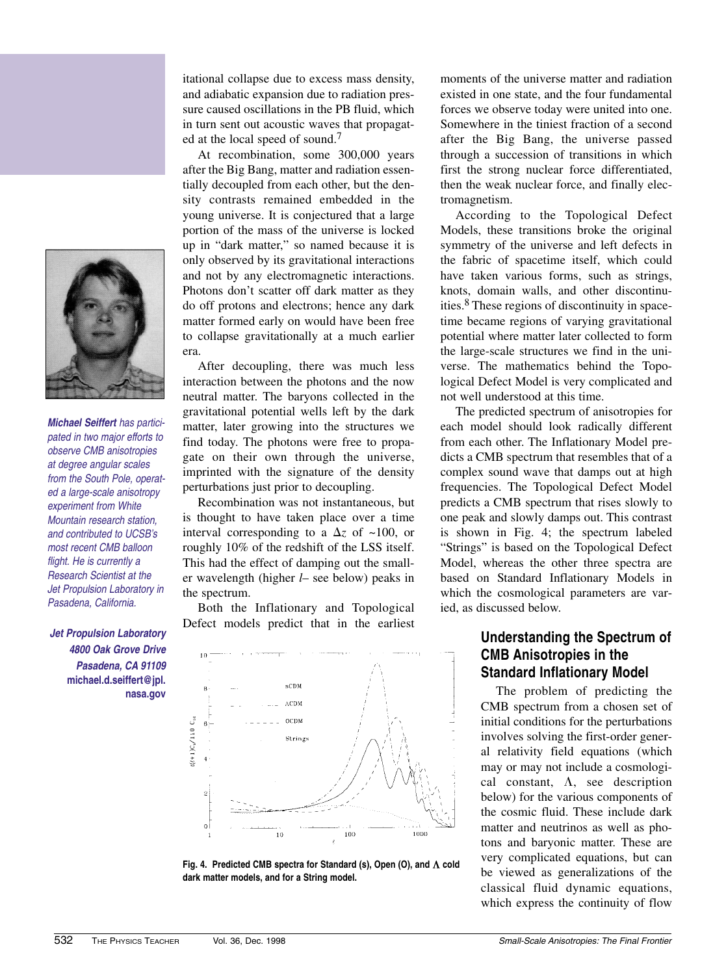

**Michael Seiffert** has participated in two major efforts to observe CMB anisotropies at degree angular scales from the South Pole, operated a large-scale anisotropy experiment from White Mountain research station, and contributed to UCSB's most recent CMB balloon flight. He is currently a Research Scientist at the Jet Propulsion Laboratory in Pasadena, California.

**Jet Propulsion Laboratory 4800 Oak Grove Drive Pasadena, CA 91109 michael.d.seiffert@jpl. nasa.gov** itational collapse due to excess mass density, and adiabatic expansion due to radiation pressure caused oscillations in the PB fluid, which in turn sent out acoustic waves that propagated at the local speed of sound.<sup>7</sup>

At recombination, some 300,000 years after the Big Bang, matter and radiation essentially decoupled from each other, but the density contrasts remained embedded in the young universe. It is conjectured that a large portion of the mass of the universe is locked up in "dark matter," so named because it is only observed by its gravitational interactions and not by any electromagnetic interactions. Photons don't scatter off dark matter as they do off protons and electrons; hence any dark matter formed early on would have been free to collapse gravitationally at a much earlier era.

After decoupling, there was much less interaction between the photons and the now neutral matter. The baryons collected in the gravitational potential wells left by the dark matter, later growing into the structures we find today. The photons were free to propagate on their own through the universe, imprinted with the signature of the density perturbations just prior to decoupling.

Recombination was not instantaneous, but is thought to have taken place over a time interval corresponding to a  $\Delta z$  of ~100, or roughly 10% of the redshift of the LSS itself. This had the effect of damping out the smaller wavelength (higher *l*– see below) peaks in the spectrum.

Both the Inflationary and Topological Defect models predict that in the earliest



Fig. 4. Predicted CMB spectra for Standard (s), Open (O), and  $\Lambda$  cold **dark matter models, and for a String model.**

moments of the universe matter and radiation existed in one state, and the four fundamental forces we observe today were united into one. Somewhere in the tiniest fraction of a second after the Big Bang, the universe passed through a succession of transitions in which first the strong nuclear force differentiated, then the weak nuclear force, and finally electromagnetism.

According to the Topological Defect Models, these transitions broke the original symmetry of the universe and left defects in the fabric of spacetime itself, which could have taken various forms, such as strings, knots, domain walls, and other discontinuities.8 These regions of discontinuity in spacetime became regions of varying gravitational potential where matter later collected to form the large-scale structures we find in the universe. The mathematics behind the Topological Defect Model is very complicated and not well understood at this time.

The predicted spectrum of anisotropies for each model should look radically different from each other. The Inflationary Model predicts a CMB spectrum that resembles that of a complex sound wave that damps out at high frequencies. The Topological Defect Model predicts a CMB spectrum that rises slowly to one peak and slowly damps out. This contrast is shown in Fig. 4; the spectrum labeled "Strings" is based on the Topological Defect Model, whereas the other three spectra are based on Standard Inflationary Models in which the cosmological parameters are varied, as discussed below.

## **Understanding the Spectrum of CMB Anisotropies in the Standard Inflationary Model**

The problem of predicting the CMB spectrum from a chosen set of initial conditions for the perturbations involves solving the first-order general relativity field equations (which may or may not include a cosmological constant,  $\Lambda$ , see description below) for the various components of the cosmic fluid. These include dark matter and neutrinos as well as photons and baryonic matter. These are very complicated equations, but can be viewed as generalizations of the classical fluid dynamic equations, which express the continuity of flow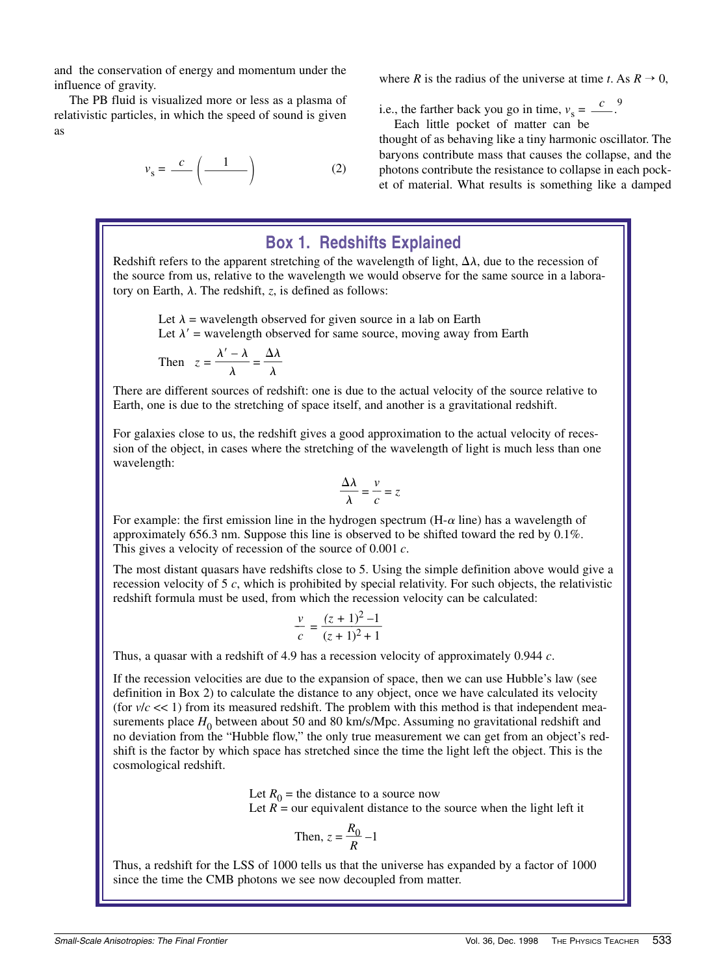and the conservation of energy and momentum under the influence of gravity.

The PB fluid is visualized more or less as a plasma of relativistic particles, in which the speed of sound is given as

$$
v_{\rm s} = \frac{c}{\cdot \cdot \cdot} \left( \frac{1}{\cdot \cdot \cdot \cdot} \right) \tag{2}
$$

where *R* is the radius of the universe at time *t*. As  $R \to 0$ ,

i.e., the farther back you go in time,  $v_s = \frac{c}{c}$ . Each little pocket of matter can be

thought of as behaving like a tiny harmonic oscillator. The baryons contribute mass that causes the collapse, and the photons contribute the resistance to collapse in each pocket of material. What results is something like a damped

# **Box 1. Redshifts Explained**

Redshift refers to the apparent stretching of the wavelength of light,  $\Delta\lambda$ , due to the recession of the source from us, relative to the wavelength we would observe for the same source in a laboratory on Earth,  $\lambda$ . The redshift, *z*, is defined as follows:

Let  $\lambda$  = wavelength observed for given source in a lab on Earth Let  $\lambda'$  = wavelength observed for same source, moving away from Earth

Then 
$$
z = \frac{\lambda' - \lambda}{\lambda} = \frac{\Delta \lambda}{\lambda}
$$

There are different sources of redshift: one is due to the actual velocity of the source relative to Earth, one is due to the stretching of space itself, and another is a gravitational redshift.

For galaxies close to us, the redshift gives a good approximation to the actual velocity of recession of the object, in cases where the stretching of the wavelength of light is much less than one wavelength:

$$
\frac{\Delta\lambda}{\lambda} = \frac{v}{c} = z
$$

For example: the first emission line in the hydrogen spectrum  $(H-\alpha \text{ line})$  has a wavelength of approximately 656.3 nm. Suppose this line is observed to be shifted toward the red by 0.1%. This gives a velocity of recession of the source of 0.001 *c*.

The most distant quasars have redshifts close to 5. Using the simple definition above would give a recession velocity of 5 *c*, which is prohibited by special relativity. For such objects, the relativistic redshift formula must be used, from which the recession velocity can be calculated:

$$
\frac{v}{c} = \frac{(z+1)^2 - 1}{(z+1)^2 + 1}
$$

Thus, a quasar with a redshift of 4.9 has a recession velocity of approximately 0.944 *c*.

If the recession velocities are due to the expansion of space, then we can use Hubble's law (see definition in Box 2) to calculate the distance to any object, once we have calculated its velocity (for  $v/c \ll 1$ ) from its measured redshift. The problem with this method is that independent measurements place  $H_0$  between about 50 and 80 km/s/Mpc. Assuming no gravitational redshift and no deviation from the "Hubble flow," the only true measurement we can get from an object's redshift is the factor by which space has stretched since the time the light left the object. This is the cosmological redshift.

> Let  $R_0$  = the distance to a source now Let  $R =$  our equivalent distance to the source when the light left it

Then, 
$$
z = \frac{R_0}{R} - 1
$$

Thus, a redshift for the LSS of 1000 tells us that the universe has expanded by a factor of 1000 since the time the CMB photons we see now decoupled from matter.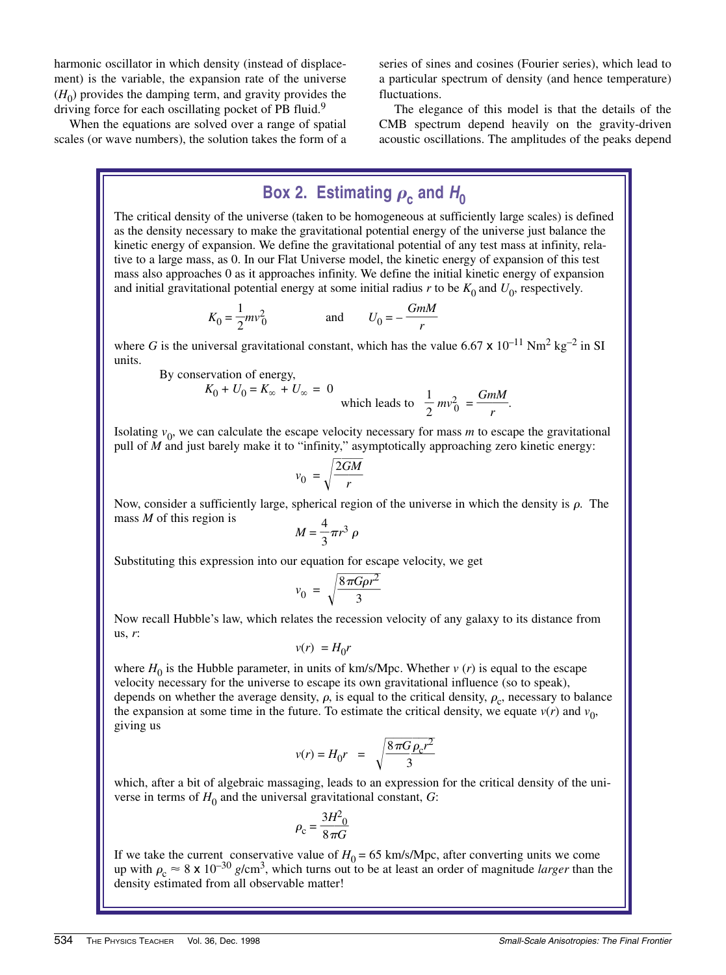harmonic oscillator in which density (instead of displacement) is the variable, the expansion rate of the universe  $(H<sub>0</sub>)$  provides the damping term, and gravity provides the driving force for each oscillating pocket of PB fluid.<sup>9</sup>

When the equations are solved over a range of spatial scales (or wave numbers), the solution takes the form of a

 $By$ 

series of sines and cosines (Fourier series), which lead to a particular spectrum of density (and hence temperature) fluctuations.

The elegance of this model is that the details of the CMB spectrum depend heavily on the gravity-driven acoustic oscillations. The amplitudes of the peaks depend

# Box 2. Estimating  $\rho_c$  and  $H_0$

The critical density of the universe (taken to be homogeneous at sufficiently large scales) is defined as the density necessary to make the gravitational potential energy of the universe just balance the kinetic energy of expansion. We define the gravitational potential of any test mass at infinity, relative to a large mass, as 0. In our Flat Universe model, the kinetic energy of expansion of this test mass also approaches 0 as it approaches infinity. We define the initial kinetic energy of expansion and initial gravitational potential energy at some initial radius *r* to be  $K_0$  and  $U_0$ , respectively.

$$
K_0 = \frac{1}{2}mv_0^2
$$
 and 
$$
U_0 = -\frac{GmM}{r}
$$

where *G* is the universal gravitational constant, which has the value 6.67  $\times$  10<sup>-11</sup> Nm<sup>2</sup> kg<sup>-2</sup> in SI units.

conservation of energy,  
\n
$$
K_0 + U_0 = K_\infty + U_\infty = 0
$$
  
\nwhich leads to  $\frac{1}{2} m v_0^2 = \frac{GmM}{r}$ .

Isolating  $v_0$ , we can calculate the escape velocity necessary for mass *m* to escape the gravitational pull of *M* and just barely make it to "infinity," asymptotically approaching zero kinetic energy:

$$
v_0 = \sqrt{\frac{2GM}{r}}
$$

Now, consider a sufficiently large, spherical region of the universe in which the density is  $\rho$ . The mass *M* of this region is

$$
M=\frac{4}{3}\pi r^3 \rho
$$

Substituting this expression into our equation for escape velocity, we get

$$
v_0 = \sqrt{\frac{8\pi G \rho r^2}{3}}
$$

Now recall Hubble's law, which relates the recession velocity of any galaxy to its distance from us, *r*:

$$
v(r) = H_0 r
$$

where  $H_0$  is the Hubble parameter, in units of km/s/Mpc. Whether  $v(r)$  is equal to the escape velocity necessary for the universe to escape its own gravitational influence (so to speak), depends on whether the average density,  $\rho$  is equal to the critical density,  $\rho_c$ , necessary to balance the expansion at some time in the future. To estimate the critical density, we equate  $v(r)$  and  $v_0$ , giving us

$$
v(r) = H_0 r = \sqrt{\frac{8\pi G \rho_c r^2}{3}}
$$

which, after a bit of algebraic massaging, leads to an expression for the critical density of the universe in terms of  $H_0$  and the universal gravitational constant,  $G$ :

$$
\rho_{\rm c} = \frac{3H^2}{8\pi G}
$$

If we take the current conservative value of  $H_0 = 65$  km/s/Mpc, after converting units we come up with  $\rho_c \approx 8 \times 10^{-30}$  *g*/cm<sup>3</sup>, which turns out to be at least an order of magnitude *larger* than the density estimated from all observable matter!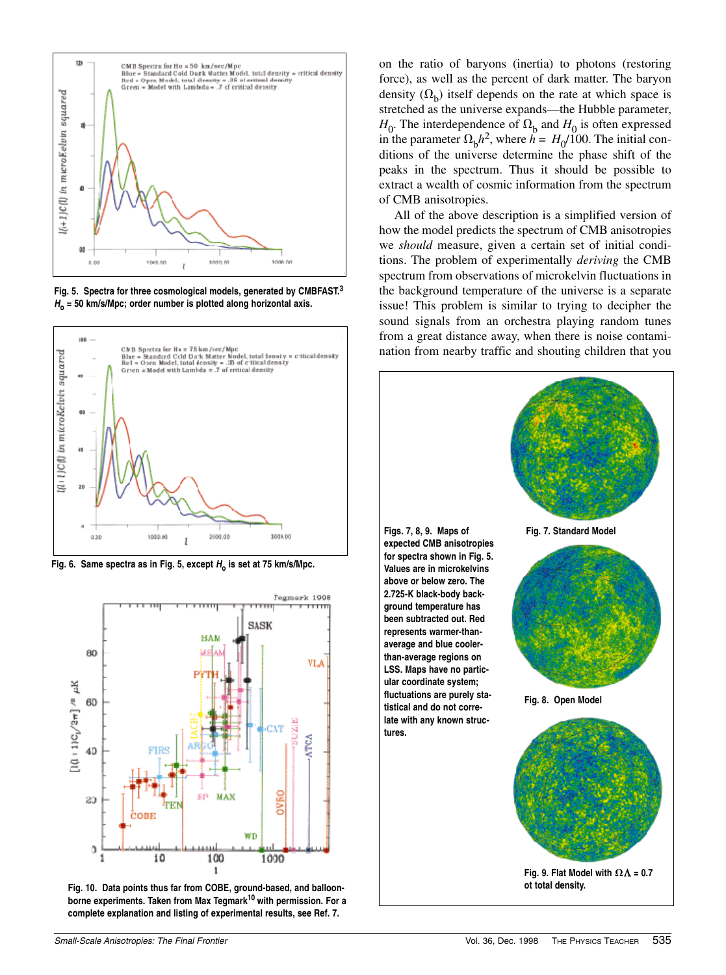

**Fig. 5. Spectra for three cosmological models, generated by CMBFAST.<sup>3</sup> <sup>H</sup><sup>o</sup> = 50 km/s/Mpc; order number is plotted along horizontal axis.**



Fig. 6. Same spectra as in Fig. 5, except  $H_0$  is set at 75 km/s/Mpc.



**Fig. 10. Data points thus far from COBE, ground-based, and balloonborne experiments. Taken from Max Tegmark<sup>10</sup> with permission. For a complete explanation and listing of experimental results, see Ref. 7.**

on the ratio of baryons (inertia) to photons (restoring force), as well as the percent of dark matter. The baryon density  $(\Omega_h)$  itself depends on the rate at which space is stretched as the universe expands—the Hubble parameter,  $H_0$ . The interdependence of  $\Omega_{\rm h}$  and  $H_0$  is often expressed in the parameter  $\Omega_h h^2$ , where  $h = H_0/100$ . The initial conditions of the universe determine the phase shift of the peaks in the spectrum. Thus it should be possible to extract a wealth of cosmic information from the spectrum of CMB anisotropies.

All of the above description is a simplified version of how the model predicts the spectrum of CMB anisotropies we *should* measure, given a certain set of initial conditions. The problem of experimentally *deriving* the CMB spectrum from observations of microkelvin fluctuations in the background temperature of the universe is a separate issue! This problem is similar to trying to decipher the sound signals from an orchestra playing random tunes from a great distance away, when there is noise contamination from nearby traffic and shouting children that you

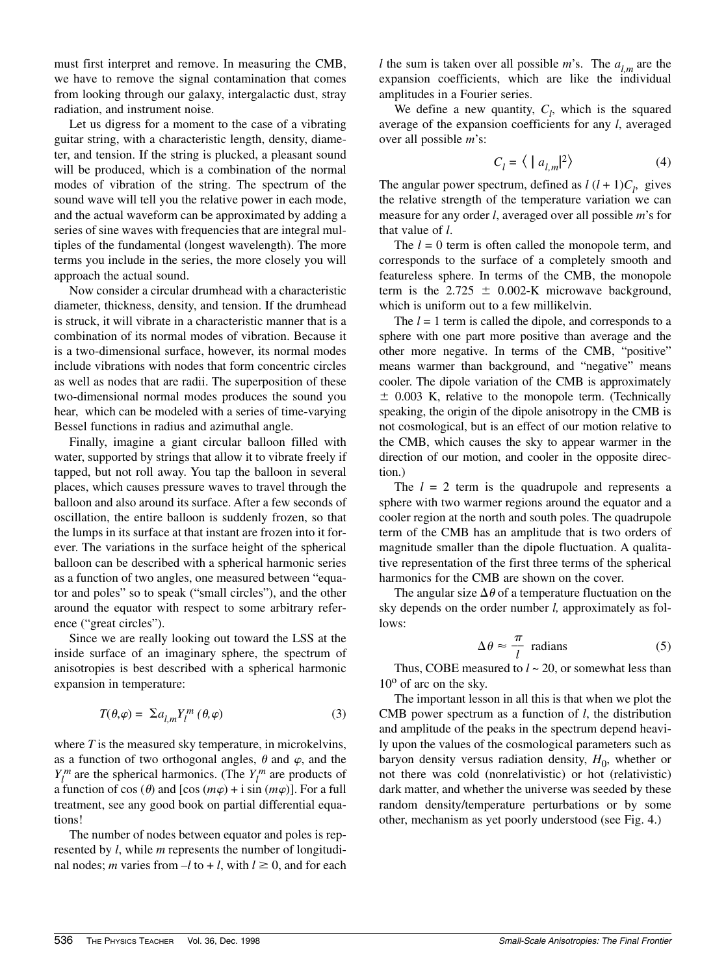must first interpret and remove. In measuring the CMB, we have to remove the signal contamination that comes from looking through our galaxy, intergalactic dust, stray radiation, and instrument noise.

Let us digress for a moment to the case of a vibrating guitar string, with a characteristic length, density, diameter, and tension. If the string is plucked, a pleasant sound will be produced, which is a combination of the normal modes of vibration of the string. The spectrum of the sound wave will tell you the relative power in each mode, and the actual waveform can be approximated by adding a series of sine waves with frequencies that are integral multiples of the fundamental (longest wavelength). The more terms you include in the series, the more closely you will approach the actual sound.

Now consider a circular drumhead with a characteristic diameter, thickness, density, and tension. If the drumhead is struck, it will vibrate in a characteristic manner that is a combination of its normal modes of vibration. Because it is a two-dimensional surface, however, its normal modes include vibrations with nodes that form concentric circles as well as nodes that are radii. The superposition of these two-dimensional normal modes produces the sound you hear, which can be modeled with a series of time-varying Bessel functions in radius and azimuthal angle.

Finally, imagine a giant circular balloon filled with water, supported by strings that allow it to vibrate freely if tapped, but not roll away. You tap the balloon in several places, which causes pressure waves to travel through the balloon and also around its surface. After a few seconds of oscillation, the entire balloon is suddenly frozen, so that the lumps in its surface at that instant are frozen into it forever. The variations in the surface height of the spherical balloon can be described with a spherical harmonic series as a function of two angles, one measured between "equator and poles" so to speak ("small circles"), and the other around the equator with respect to some arbitrary reference ("great circles").

Since we are really looking out toward the LSS at the inside surface of an imaginary sphere, the spectrum of anisotropies is best described with a spherical harmonic expansion in temperature:

$$
T(\theta, \varphi) = \sum a_{l,m} Y_l^m (\theta, \varphi)
$$
 (3)

where *T* is the measured sky temperature, in microkelvins, as a function of two orthogonal angles,  $\theta$  and  $\varphi$ , and the  $Y_l^m$  are the spherical harmonics. (The  $Y_l^m$  are products of a function of cos  $(\theta)$  and  $[\cos(m\varphi) + i \sin(m\varphi)]$ . For a full treatment, see any good book on partial differential equations!

The number of nodes between equator and poles is represented by *l*, while *m* represents the number of longitudinal nodes; *m* varies from  $-l$  to  $+l$ , with  $l \geq 0$ , and for each *l* the sum is taken over all possible *m*'s. The  $a_{l,m}$  are the expansion coefficients, which are like the individual amplitudes in a Fourier series.

We define a new quantity,  $C_l$ , which is the squared average of the expansion coefficients for any *l*, averaged over all possible *m*'s:

$$
C_l = \langle | a_{l,m} |^2 \rangle \tag{4}
$$

The angular power spectrum, defined as  $l(l+1)C_l$ , gives the relative strength of the temperature variation we can measure for any order *l*, averaged over all possible *m*'s for that value of *l*.

The  $l = 0$  term is often called the monopole term, and corresponds to the surface of a completely smooth and featureless sphere. In terms of the CMB, the monopole term is the  $2.725 \pm 0.002$ -K microwave background, which is uniform out to a few millikelvin.

The *l* = 1 term is called the dipole, and corresponds to a sphere with one part more positive than average and the other more negative. In terms of the CMB, "positive" means warmer than background, and "negative" means cooler. The dipole variation of the CMB is approximately  $\pm$  0.003 K, relative to the monopole term. (Technically speaking, the origin of the dipole anisotropy in the CMB is not cosmological, but is an effect of our motion relative to the CMB, which causes the sky to appear warmer in the direction of our motion, and cooler in the opposite direction.)

The  $l = 2$  term is the quadrupole and represents a sphere with two warmer regions around the equator and a cooler region at the north and south poles. The quadrupole term of the CMB has an amplitude that is two orders of magnitude smaller than the dipole fluctuation. A qualitative representation of the first three terms of the spherical harmonics for the CMB are shown on the cover.

The angular size  $\Delta\theta$  of a temperature fluctuation on the sky depends on the order number *l,* approximately as follows:

$$
\Delta \theta \approx \frac{\pi}{l} \text{ radians} \tag{5}
$$

Thus, COBE measured to *l* ~ 20, or somewhat less than  $10^{\circ}$  of arc on the sky.

The important lesson in all this is that when we plot the CMB power spectrum as a function of *l*, the distribution and amplitude of the peaks in the spectrum depend heavily upon the values of the cosmological parameters such as baryon density versus radiation density,  $H_0$ , whether or not there was cold (nonrelativistic) or hot (relativistic) dark matter, and whether the universe was seeded by these random density/temperature perturbations or by some other, mechanism as yet poorly understood (see Fig. 4.)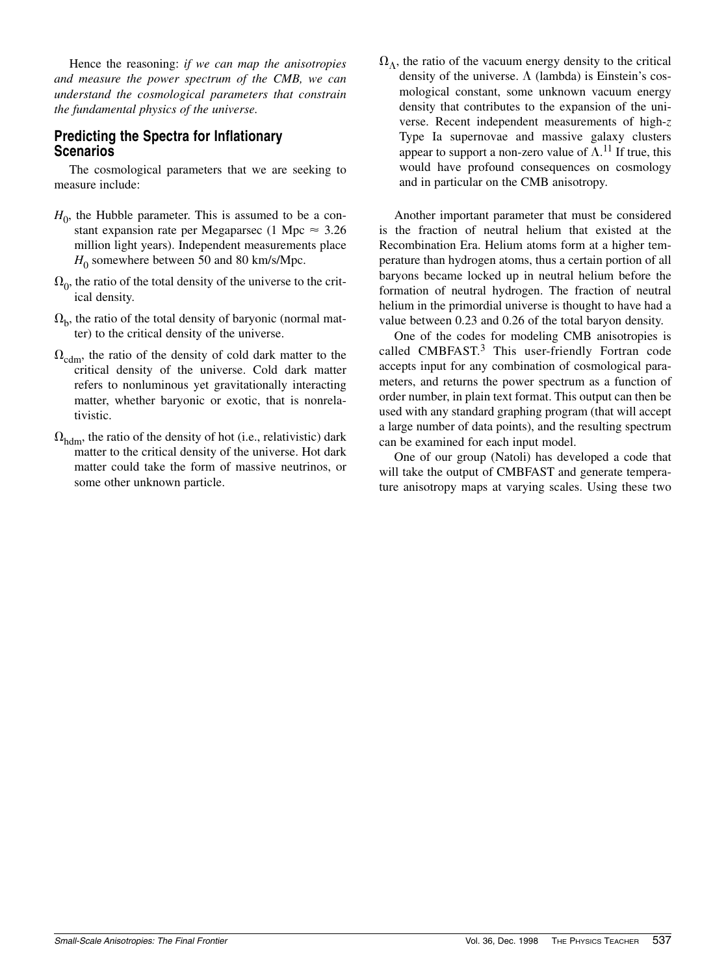Hence the reasoning: *if we can map the anisotropies and measure the power spectrum of the CMB, we can understand the cosmological parameters that constrain the fundamental physics of the universe.*

## **Predicting the Spectra for Inflationary Scenarios**

The cosmological parameters that we are seeking to measure include:

- $H<sub>0</sub>$ , the Hubble parameter. This is assumed to be a constant expansion rate per Megaparsec (1 Mpc  $\approx 3.26$ ) million light years). Independent measurements place  $H_0$  somewhere between 50 and 80 km/s/Mpc.
- $\Omega_0$ , the ratio of the total density of the universe to the critical density.
- $\Omega_{\rm b}$ , the ratio of the total density of baryonic (normal matter) to the critical density of the universe.
- $\Omega_{\text{cdm}}$ , the ratio of the density of cold dark matter to the critical density of the universe. Cold dark matter refers to nonluminous yet gravitationally interacting matter, whether baryonic or exotic, that is nonrelativistic.
- $\Omega_{\text{hdm}}$ , the ratio of the density of hot (i.e., relativistic) dark matter to the critical density of the universe. Hot dark matter could take the form of massive neutrinos, or some other unknown particle.

 $\Omega_{\Lambda}$ , the ratio of the vacuum energy density to the critical density of the universe.  $\Lambda$  (lambda) is Einstein's cosmological constant, some unknown vacuum energy density that contributes to the expansion of the universe. Recent independent measurements of high-*z* Type Ia supernovae and massive galaxy clusters appear to support a non-zero value of  $\Lambda$ .<sup>11</sup> If true, this would have profound consequences on cosmology and in particular on the CMB anisotropy.

Another important parameter that must be considered is the fraction of neutral helium that existed at the Recombination Era. Helium atoms form at a higher temperature than hydrogen atoms, thus a certain portion of all baryons became locked up in neutral helium before the formation of neutral hydrogen. The fraction of neutral helium in the primordial universe is thought to have had a value between 0.23 and 0.26 of the total baryon density.

One of the codes for modeling CMB anisotropies is called  $CMBFAST.<sup>3</sup>$  This user-friendly Fortran code accepts input for any combination of cosmological parameters, and returns the power spectrum as a function of order number, in plain text format. This output can then be used with any standard graphing program (that will accept a large number of data points), and the resulting spectrum can be examined for each input model.

One of our group (Natoli) has developed a code that will take the output of CMBFAST and generate temperature anisotropy maps at varying scales. Using these two